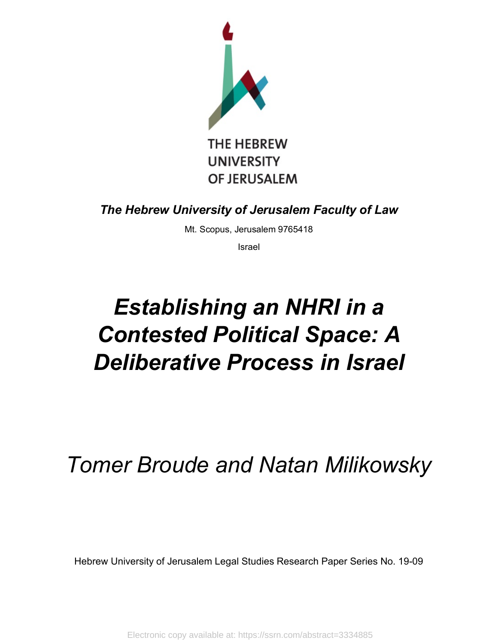

*The Hebrew University of Jerusalem Faculty of Law*

Mt. Scopus, Jerusalem 9765418

Israel

# *Establishing an NHRI in a Contested Political Space: A Deliberative Process in Israel*

## *Tomer Broude and Natan Milikowsky*

Hebrew University of Jerusalem Legal Studies Research Paper Series No. 19-09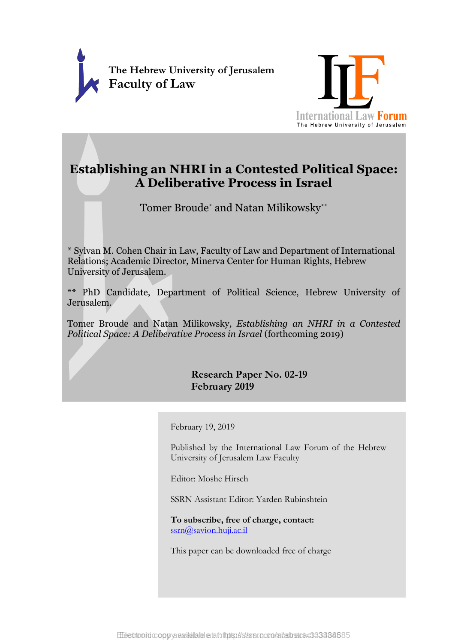



### **Establishing an NHRI in a Contested Political Space: A Deliberative Process in Israel**

Tomer Broude\* and Natan Milikowsky\*\*

\* Sylvan M. Cohen Chair in Law, Faculty of Law and Department of International Relations; Academic Director, Minerva Center for Human Rights, Hebrew University of Jerusalem.

\*\* PhD Candidate, Department of Political Science, Hebrew University of Jerusalem.

Tomer Broude and Natan Milikowsky*, Establishing an NHRI in a Contested Political Space: A Deliberative Process in Israel* (forthcoming 2019)

> **Research Paper No. 02-19 February 2019**

February 19, 2019

Published by the International Law Forum of the Hebrew University of Jerusalem Law Faculty

Editor: Moshe Hirsch

SSRN Assistant Editor: Yarden Rubinshtein

**To subscribe, free of charge, contact:** [ssrn@savion.huji.ac.il](mailto:ssrn@savion.huji.ac.il)

This paper can be downloaded free of charge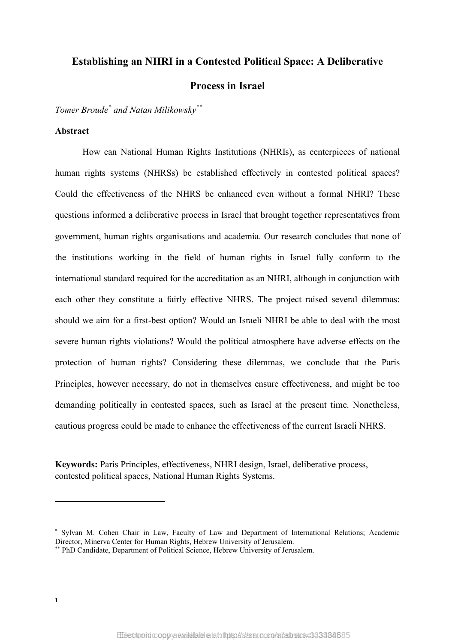## **Establishing an NHRI in a Contested Political Space: A Deliberative Process in Israel**

*Tomer Broude\* and Natan Milikowsky\*\**

#### **Abstract**

How can National Human Rights Institutions (NHRIs), as centerpieces of national human rights systems (NHRSs) be established effectively in contested political spaces? Could the effectiveness of the NHRS be enhanced even without a formal NHRI? These questions informed a deliberative process in Israel that brought together representatives from government, human rights organisations and academia. Our research concludes that none of the institutions working in the field of human rights in Israel fully conform to the international standard required for the accreditation as an NHRI, although in conjunction with each other they constitute a fairly effective NHRS. The project raised several dilemmas: should we aim for a first-best option? Would an Israeli NHRI be able to deal with the most severe human rights violations? Would the political atmosphere have adverse effects on the protection of human rights? Considering these dilemmas, we conclude that the Paris Principles, however necessary, do not in themselves ensure effectiveness, and might be too demanding politically in contested spaces, such as Israel at the present time. Nonetheless, cautious progress could be made to enhance the effectiveness of the current Israeli NHRS.

**Keywords:** Paris Principles, effectiveness, NHRI design, Israel, deliberative process, contested political spaces, National Human Rights Systems.

<sup>\*</sup> Sylvan M. Cohen Chair in Law, Faculty of Law and Department of International Relations; Academic Director, Minerva Center for Human Rights, Hebrew University of Jerusalem.

<sup>\*\*</sup> PhD Candidate, Department of Political Science, Hebrew University of Jerusalem.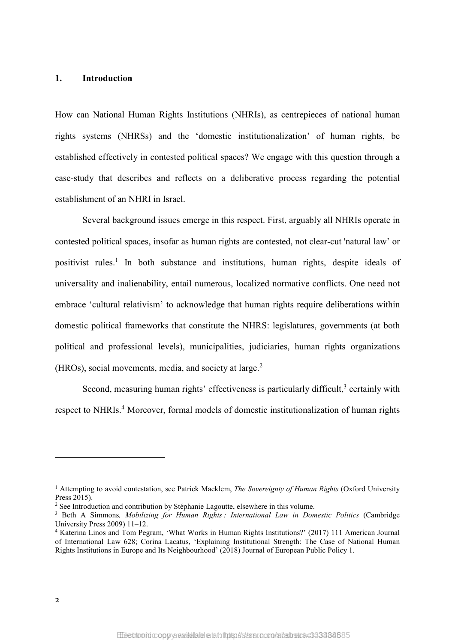#### **1. Introduction**

How can National Human Rights Institutions (NHRIs), as centrepieces of national human rights systems (NHRSs) and the 'domestic institutionalization' of human rights, be established effectively in contested political spaces? We engage with this question through a case-study that describes and reflects on a deliberative process regarding the potential establishment of an NHRI in Israel.

Several background issues emerge in this respect. First, arguably all NHRIs operate in contested political spaces, insofar as human rights are contested, not clear-cut 'natural law' or positivist rules. <sup>1</sup> In both substance and institutions, human rights, despite ideals of universality and inalienability, entail numerous, localized normative conflicts. One need not embrace 'cultural relativism' to acknowledge that human rights require deliberations within domestic political frameworks that constitute the NHRS: legislatures, governments (at both political and professional levels), municipalities, judiciaries, human rights organizations (HROs), social movements, media, and society at large.<sup>2</sup>

<span id="page-3-0"></span>Second, measuring human rights' effectiveness is particularly difficult, $3$  certainly with respect to NHRIs.<sup>4</sup> Moreover, formal models of domestic institutionalization of human rights

<sup>1</sup> Attempting to avoid contestation, see Patrick Macklem, *The Sovereignty of Human Rights* (Oxford University Press 2015).

<sup>&</sup>lt;sup>2</sup> See Introduction and contribution by Stéphanie Lagoutte, elsewhere in this volume.

<sup>3</sup> Beth A Simmons*, Mobilizing for Human Rights : International Law in Domestic Politics* (Cambridge University Press 2009) 11–12.

<sup>4</sup> Katerina Linos and Tom Pegram, 'What Works in Human Rights Institutions?' (2017) 111 American Journal of International Law 628; Corina Lacatus, 'Explaining Institutional Strength: The Case of National Human Rights Institutions in Europe and Its Neighbourhood' (2018) Journal of European Public Policy 1.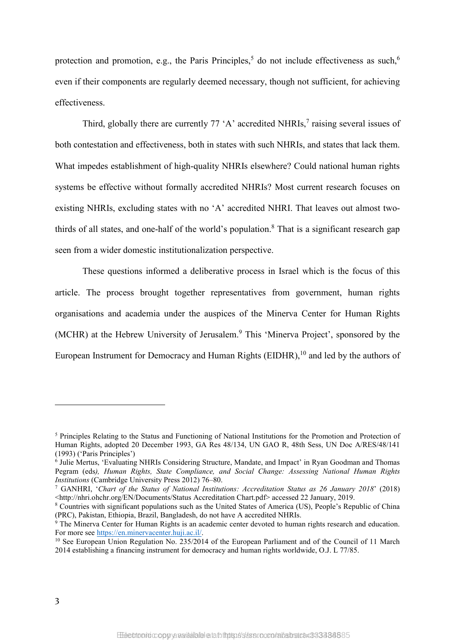<span id="page-4-1"></span><span id="page-4-0"></span>protection and promotion, e.g., the Paris Principles,<sup>5</sup> do not include effectiveness as such,<sup>6</sup> even if their components are regularly deemed necessary, though not sufficient, for achieving effectiveness.

Third, globally there are currently  $77 \text{ }^{\circ}$ A' accredited NHRIs,<sup>7</sup> raising several issues of both contestation and effectiveness, both in states with such NHRIs, and states that lack them. What impedes establishment of high-quality NHRIs elsewhere? Could national human rights systems be effective without formally accredited NHRIs? Most current research focuses on existing NHRIs, excluding states with no 'A' accredited NHRI. That leaves out almost twothirds of all states, and one-half of the world's population. <sup>8</sup> That is a significant research gap seen from a wider domestic institutionalization perspective.

These questions informed a deliberative process in Israel which is the focus of this article. The process brought together representatives from government, human rights organisations and academia under the auspices of the Minerva Center for Human Rights (MCHR) at the Hebrew University of Jerusalem. <sup>9</sup> This 'Minerva Project', sponsored by the European Instrument for Democracy and Human Rights (EIDHR),<sup>10</sup> and led by the authors of

<sup>5</sup> Principles Relating to the Status and Functioning of National Institutions for the Promotion and Protection of Human Rights, adopted 20 December 1993, GA Res 48/134, UN GAO R, 48th Sess, UN Doc A/RES/48/141 (1993) ('Paris Principles')

<sup>&</sup>lt;sup>6</sup> Julie Mertus, 'Evaluating NHRIs Considering Structure, Mandate, and Impact' in Ryan Goodman and Thomas Pegram (eds*), Human Rights, State Compliance, and Social Change: Assessing National Human Rights Institutions* (Cambridge University Press 2012) 76–80.

<sup>7</sup> GANHRI, '*Chart of the Status of National Institutions: Accreditation Status as 26 January 2018*' (2018) <http://nhri.ohchr.org/EN/Documents/Status Accreditation Chart.pdf> accessed 22 January, 2019.

<sup>8</sup> Countries with significant populations such as the United States of America (US), People's Republic of China (PRC), Pakistan, Ethiopia, Brazil, Bangladesh, do not have A accredited NHRIs.

<sup>&</sup>lt;sup>9</sup> The Minerva Center for Human Rights is an academic center devoted to human rights research and education. For more see [https://en.minervacenter.huji.ac.il/.](https://en.minervacenter.huji.ac.il/)

<sup>&</sup>lt;sup>10</sup> See European Union Regulation No. 235/2014 of the European Parliament and of the Council of 11 March 2014 establishing a financing instrument for democracy and human rights worldwide, O.J. L 77/85.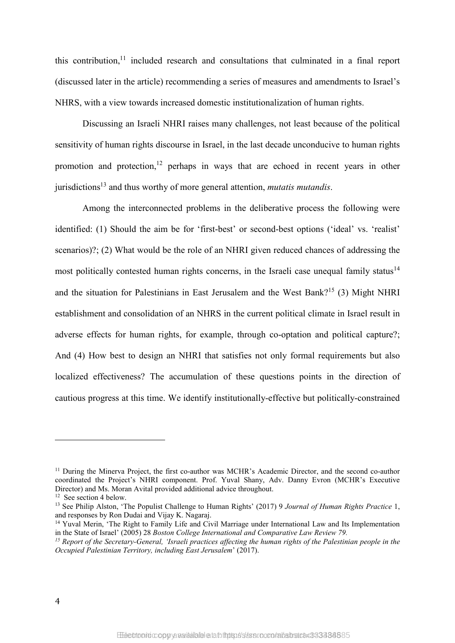this contribution, <sup>11</sup> included research and consultations that culminated in a final report (discussed later in the article) recommending a series of measures and amendments to Israel's NHRS, with a view towards increased domestic institutionalization of human rights.

Discussing an Israeli NHRI raises many challenges, not least because of the political sensitivity of human rights discourse in Israel, in the last decade unconducive to human rights promotion and protection, <sup>12</sup> perhaps in ways that are echoed in recent years in other jurisdictions13 and thus worthy of more general attention, *mutatis mutandis*.

Among the interconnected problems in the deliberative process the following were identified: (1) Should the aim be for 'first-best' or second-best options ('ideal' vs. 'realist' scenarios)?; (2) What would be the role of an NHRI given reduced chances of addressing the most politically contested human rights concerns, in the Israeli case unequal family status<sup>14</sup> and the situation for Palestinians in East Jerusalem and the West Bank?<sup>15</sup> (3) Might NHRI establishment and consolidation of an NHRS in the current political climate in Israel result in adverse effects for human rights, for example, through co-optation and political capture?; And (4) How best to design an NHRI that satisfies not only formal requirements but also localized effectiveness? The accumulation of these questions points in the direction of cautious progress at this time. We identify institutionally-effective but politically-constrained

<sup>&</sup>lt;sup>11</sup> During the Minerva Project, the first co-author was MCHR's Academic Director, and the second co-author coordinated the Project's NHRI component. Prof. Yuval Shany, Adv. Danny Evron (MCHR's Executive Director) and Ms. Moran Avital provided additional advice throughout.

<sup>12</sup> See section <sup>4</sup> below. 13 See Philip Alston, 'The Populist Challenge to Human Rights' (2017) <sup>9</sup> *Journal of Human Rights Practice* 1, and responses by Ron Dudai and Vijay K. Nagaraj.

<sup>&</sup>lt;sup>14</sup> Yuval Merin, 'The Right to Family Life and Civil Marriage under International Law and Its Implementation in the State of Israel' (2005) 28 *Boston College International and Comparative Law Review 79.*

 $^{15}$  Report of the Secretary-General, 'Israeli practices affecting the human rights of the Palestinian people in the *Occupied Palestinian Territory, including East Jerusalem*' (2017).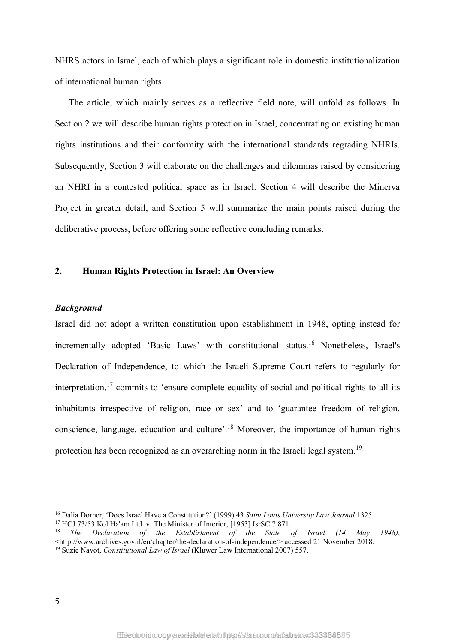NHRS actors in Israel, each of which plays a significant role in domestic institutionalization of international human rights.

The article, which mainly serves as a reflective field note, will unfold as follows. In Section 2 we will describe human rights protection in Israel, concentrating on existing human rights institutions and their conformity with the international standards regrading NHRIs. Subsequently, Section 3 will elaborate on the challenges and dilemmas raised by considering an NHRI in a contested political space as in Israel. Section 4 will describe the Minerva Project in greater detail, and Section 5 will summarize the main points raised during the deliberative process, before offering some reflective concluding remarks.

#### **2. Human Rights Protection in Israel: An Overview**

#### *Background*

Israel did not adopt a written constitution upon establishment in 1948, opting instead for incrementally adopted 'Basic Laws' with constitutional status. <sup>16</sup> Nonetheless, Israel's Declaration of Independence, to which the Israeli Supreme Court refers to regularly for interpretation,  $\frac{17}{17}$  commits to 'ensure complete equality of social and political rights to all its inhabitants irrespective of religion, race or sex' and to 'guarantee freedom of religion, conscience, language, education and culture'. <sup>18</sup> Moreover, the importance of human rights protection has been recognized as an overarching norm in the Israeli legal system.<sup>19</sup>

<sup>16</sup> Dalia Dorner, 'Does Israel Have a Constitution?' (1999) 43 *Saint Louis University Law Journal* 1325. <sup>17</sup> HCJ 73/53 Kol Ha'am Ltd. v. The Minister of Interior, [1953] IsrSC 7 871.

<sup>18</sup> *The Declaration of the Establishment of the State of Israel (14 May 1948)*, <http://www.archives.gov.il/en/chapter/the-declaration-of-independence/> accessed 21 November 2018. <sup>19</sup> Suzie Navot, *Constitutional Law of Israel* (Kluwer Law International 2007) 557.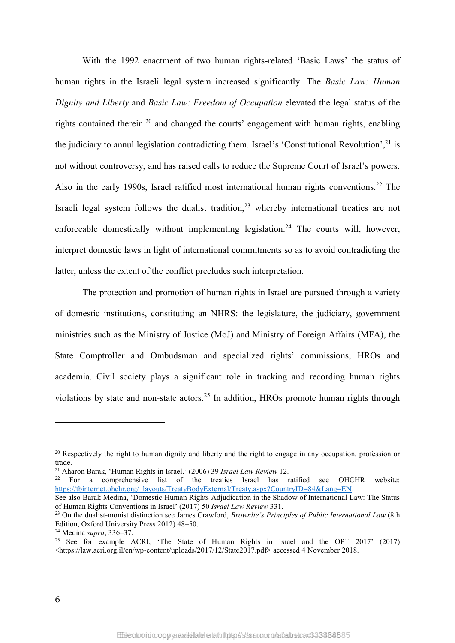With the 1992 enactment of two human rights-related 'Basic Laws' the status of human rights in the Israeli legal system increased significantly. The *Basic Law: Human Dignity and Liberty* and *Basic Law: Freedom of Occupation* elevated the legal status of the rights contained therein  $20$  and changed the courts' engagement with human rights, enabling the judiciary to annul legislation contradicting them. Israel's 'Constitutional Revolution',<sup>21</sup> is not without controversy, and has raised calls to reduce the Supreme Court of Israel's powers. Also in the early 1990s, Israel ratified most international human rights conventions. <sup>22</sup> The Israeli legal system follows the dualist tradition, $2<sup>3</sup>$  whereby international treaties are not enforceable domestically without implementing legislation.<sup>24</sup> The courts will, however, interpret domestic laws in light of international commitments so as to avoid contradicting the latter, unless the extent of the conflict precludes such interpretation.

The protection and promotion of human rights in Israel are pursued through a variety of domestic institutions, constituting an NHRS: the legislature, the judiciary, government ministries such as the Ministry of Justice (MoJ) and Ministry of Foreign Affairs (MFA), the State Comptroller and Ombudsman and specialized rights' commissions, HROs and academia. Civil society plays a significant role in tracking and recording human rights violations by state and non-state actors.<sup>25</sup> In addition, HROs promote human rights through

<sup>&</sup>lt;sup>20</sup> Respectively the right to human dignity and liberty and the right to engage in any occupation, profession or trade.

<sup>21</sup> Aharon Barak, 'Human Rights in Israel.' (2006) 39 *Israel Law Review* 12.

 $22$  For a comprehensive list of the treaties Israel has ratified see OHCHR website: [https://tbinternet.ohchr.org/\\_layouts/TreatyBodyExternal/Treaty.aspx?CountryID=84&Lang=EN.](https://tbinternet.ohchr.org/_layouts/TreatyBodyExternal/Treaty.aspx?CountryID=84&Lang=EN)

See also Barak Medina, 'Domestic Human Rights Adjudication in the Shadow of International Law: The Status of Human Rights Conventions in Israel' (2017) 50 *Israel Law Review* 331.

<sup>23</sup> On the dualist-monist distinction see James Crawford, *Brownlie's Principles of Public International Law* (8th Edition, Oxford University Press 2012) 48–50.

<sup>24</sup> Medina *supra*, 336–37.

<sup>&</sup>lt;sup>25</sup> See for example ACRI, 'The State of Human Rights in Israel and the OPT 2017' (2017) <https://law.acri.org.il/en/wp-content/uploads/2017/12/State2017.pdf> accessed 4 November 2018.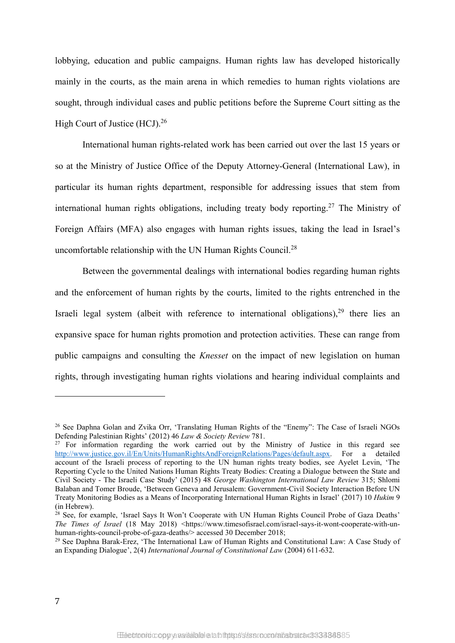lobbying, education and public campaigns. Human rights law has developed historically mainly in the courts, as the main arena in which remedies to human rights violations are sought, through individual cases and public petitions before the Supreme Court sitting as the High Court of Justice (HCJ).<sup>26</sup>

<span id="page-8-0"></span>International human rights-related work has been carried out over the last 15 years or so at the Ministry of Justice Office of the Deputy Attorney-General (International Law), in particular its human rights department, responsible for addressing issues that stem from international human rights obligations, including treaty body reporting. <sup>27</sup> The Ministry of Foreign Affairs (MFA) also engages with human rights issues, taking the lead in Israel's uncomfortable relationship with the UN Human Rights Council.<sup>28</sup>

Between the governmental dealings with international bodies regarding human rights and the enforcement of human rights by the courts, limited to the rights entrenched in the Israeli legal system (albeit with reference to international obligations),  $29$  there lies an expansive space for human rights promotion and protection activities. These can range from public campaigns and consulting the *Knesset* on the impact of new legislation on human rights, through investigating human rights violations and hearing individual complaints and

1

<sup>&</sup>lt;sup>26</sup> See Daphna Golan and Zvika Orr, 'Translating Human Rights of the "Enemy": The Case of Israeli NGOs Defending Palestinian Rights' (2012) 46 *Law & Society Review* 781.

<sup>&</sup>lt;sup>27</sup> For information regarding the work carried out by the Ministry of Justice in this regard see [http://www.justice.gov.il/En/Units/HumanRightsAndForeignRelations/Pages/default.aspx.](http://www.justice.gov.il/En/Units/HumanRightsAndForeignRelations/Pages/default.aspx) For a detailed account of the Israeli process of reporting to the UN human rights treaty bodies, see Ayelet Levin, 'The Reporting Cycle to the United Nations Human Rights Treaty Bodies: Creating a Dialogue between the State and Civil Society - The Israeli Case Study' (2015) 48 *George Washington International Law Review* 315; Shlomi Balaban and Tomer Broude, 'Between Geneva and Jerusalem: Government-Civil Society Interaction Before UN Treaty Monitoring Bodies as a Means of Incorporating International Human Rights in Israel' (2017) 10 *Hukim* 9 (in Hebrew).

<sup>&</sup>lt;sup>28</sup> See, for example, 'Israel Says It Won't Cooperate with UN Human Rights Council Probe of Gaza Deaths' *The Times of Israel* (18 May 2018) <https://www.timesofisrael.com/israel-says-it-wont-cooperate-with-unhuman-rights-council-probe-of-gaza-deaths/> accessed 30 December 2018;

<sup>&</sup>lt;sup>29</sup> See Daphna Barak-Erez, 'The International Law of Human Rights and Constitutional Law: A Case Study of an Expanding Dialogue', 2(4) *International Journal of Constitutional Law* (2004) 611-632.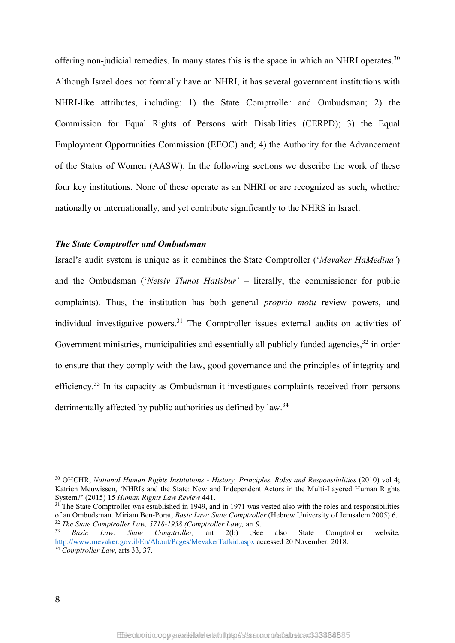offering non-judicial remedies. In many states this is the space in which an NHRI operates.<sup>30</sup> Although Israel does not formally have an NHRI, it has several government institutions with NHRI-like attributes, including: 1) the State Comptroller and Ombudsman; 2) the Commission for Equal Rights of Persons with Disabilities (CERPD); 3) the Equal Employment Opportunities Commission (EEOC) and; 4) the Authority for the Advancement of the Status of Women (AASW). In the following sections we describe the work of these four key institutions. None of these operate as an NHRI or are recognized as such, whether nationally or internationally, and yet contribute significantly to the NHRS in Israel.

#### *The State Comptroller and Ombudsman*

Israel's audit system is unique as it combines the State Comptroller ('*Mevaker HaMedina'*) and the Ombudsman ('*Netsiv Tlunot Hatisbur'* – literally, the commissioner for public complaints). Thus, the institution has both general *proprio motu* review powers, and individual investigative powers.<sup>31</sup> The Comptroller issues external audits on activities of Government ministries, municipalities and essentially all publicly funded agencies,<sup>32</sup> in order to ensure that they comply with the law, good governance and the principles of integrity and efficiency.<sup>33</sup> In its capacity as Ombudsman it investigates complaints received from persons detrimentally affected by public authorities as defined by law.<sup>34</sup>

<sup>30</sup> OHCHR, *National Human Rights Institutions - History, Principles, Roles and Responsibilities* (2010) vol 4; Katrien Meuwissen, 'NHRIs and the State: New and Independent Actors in the Multi-Layered Human Rights System?' (2015) 15 *Human Rights Law Review* 441.

<sup>&</sup>lt;sup>31</sup> The State Comptroller was established in 1949, and in 1971 was vested also with the roles and responsibilities of an Ombudsman. Miriam Ben-Porat, *Basic Law: State Comptroller* (Hebrew University of Jerusalem 2005) 6. <sup>32</sup> *The State Comptroller Law, 5718-1958 (Comptroller Law),* art 9.

<sup>33</sup> *Basic Law: State Comptroller,* art 2(b) ;See also State Comptroller website, <http://www.mevaker.gov.il/En/About/Pages/MevakerTafkid.aspx> accessed 20 November, 2018. <sup>34</sup> *Comptroller Law*, arts 33, 37.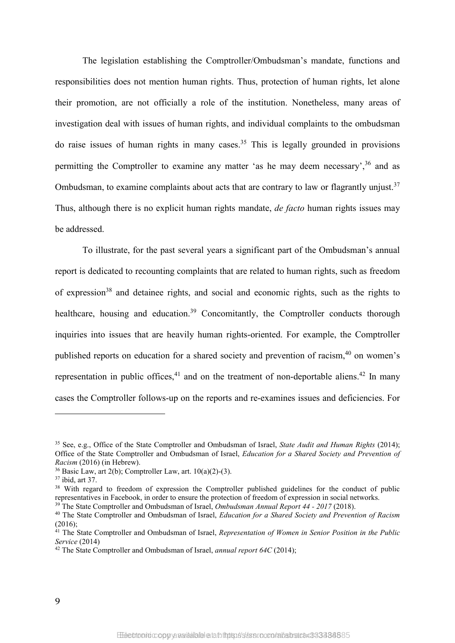The legislation establishing the Comptroller/Ombudsman's mandate, functions and responsibilities does not mention human rights. Thus, protection of human rights, let alone their promotion, are not officially a role of the institution. Nonetheless, many areas of investigation deal with issues of human rights, and individual complaints to the ombudsman do raise issues of human rights in many cases.<sup>35</sup> This is legally grounded in provisions permitting the Comptroller to examine any matter 'as he may deem necessary',<sup>36</sup> and as Ombudsman, to examine complaints about acts that are contrary to law or flagrantly unjust.<sup>37</sup> Thus, although there is no explicit human rights mandate, *de facto* human rights issues may be addressed.

To illustrate, for the past several years a significant part of the Ombudsman's annual report is dedicated to recounting complaints that are related to human rights, such as freedom of expression<sup>38</sup> and detainee rights, and social and economic rights, such as the rights to healthcare, housing and education.<sup>39</sup> Concomitantly, the Comptroller conducts thorough inquiries into issues that are heavily human rights-oriented. For example, the Comptroller published reports on education for a shared society and prevention of racism.<sup>40</sup> on women's representation in public offices,  $41$  and on the treatment of non-deportable aliens.  $42$  In many cases the Comptroller follows-up on the reports and re-examines issues and deficiencies. For

<sup>35</sup> See, e.g., Office of the State Comptroller and Ombudsman of Israel, *State Audit and Human Rights* (2014); Office of the State Comptroller and Ombudsman of Israel, *Education for a Shared Society and Prevention of Racism* (2016) (in Hebrew).

 $36$  Basic Law, art 2(b); Comptroller Law, art. 10(a)(2)-(3).

 $37$  ibid, art 37.

<sup>&</sup>lt;sup>38</sup> With regard to freedom of expression the Comptroller published guidelines for the conduct of public representatives in Facebook, in order to ensure the protection of freedom of expression in social networks.

<sup>39</sup> The State Comptroller and Ombudsman of Israel, *Ombudsman Annual Report 44 - 2017* (2018).

<sup>40</sup> The State Comptroller and Ombudsman of Israel, *Education for a Shared Society and Prevention of Racism* (2016);

<sup>41</sup> The State Comptroller and Ombudsman of Israel, *Representation of Women in Senior Position in the Public Service* (2014)

<sup>42</sup> The State Comptroller and Ombudsman of Israel, *annual report 64C* (2014);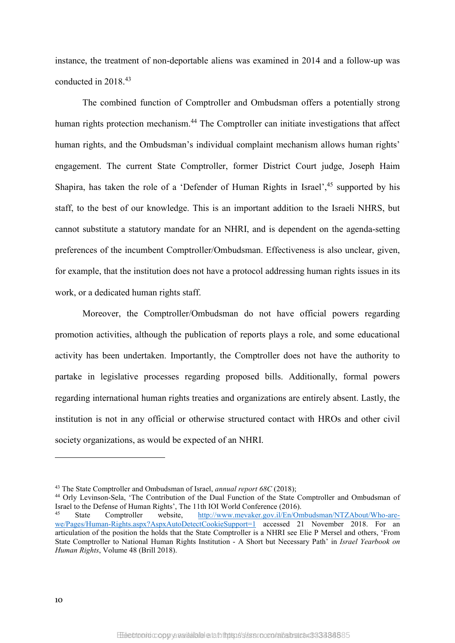instance, the treatment of non-deportable aliens was examined in 2014 and a follow-up was conducted in 2018. 43

The combined function of Comptroller and Ombudsman offers a potentially strong human rights protection mechanism.<sup>44</sup> The Comptroller can initiate investigations that affect human rights, and the Ombudsman's individual complaint mechanism allows human rights' engagement. The current State Comptroller, former District Court judge, Joseph Haim Shapira, has taken the role of a 'Defender of Human Rights in Israel', <sup>45</sup> supported by his staff, to the best of our knowledge. This is an important addition to the Israeli NHRS, but cannot substitute a statutory mandate for an NHRI, and is dependent on the agenda-setting preferences of the incumbent Comptroller/Ombudsman. Effectiveness is also unclear, given, for example, that the institution does not have a protocol addressing human rights issues in its work, or a dedicated human rights staff.

Moreover, the Comptroller/Ombudsman do not have official powers regarding promotion activities, although the publication of reports plays a role, and some educational activity has been undertaken. Importantly, the Comptroller does not have the authority to partake in legislative processes regarding proposed bills. Additionally, formal powers regarding international human rights treaties and organizations are entirely absent. Lastly, the institution is not in any official or otherwise structured contact with HROs and other civil society organizations, as would be expected of an NHRI.

<sup>44</sup> Orly Levinson-Sela, 'The Contribution of the Dual Function of the State Comptroller and Ombudsman of Israel to the Defense of Human Rights', The 11th IOI World Conference (2016).

<sup>43</sup> The State Comptroller and Ombudsman of Israel, *annual report 68C* (2018);

<sup>45</sup> State Comptroller website, [http://www.mevaker.gov.il/En/Ombudsman/NTZAbout/Who-are](http://www.mevaker.gov.il/En/Ombudsman/NTZAbout/Who-are-we/Pages/Human-Rights.aspx?AspxAutoDetectCookieSupport=1)[we/Pages/Human-Rights.aspx?AspxAutoDetectCookieSupport=1](http://www.mevaker.gov.il/En/Ombudsman/NTZAbout/Who-are-we/Pages/Human-Rights.aspx?AspxAutoDetectCookieSupport=1) accessed 21 November 2018. For an articulation of the position the holds that the State Comptroller is a NHRI see Elie P Mersel and others, 'From State Comptroller to National Human Rights Institution - A Short but Necessary Path' in *Israel Yearbook on Human Rights*, Volume 48 (Brill 2018).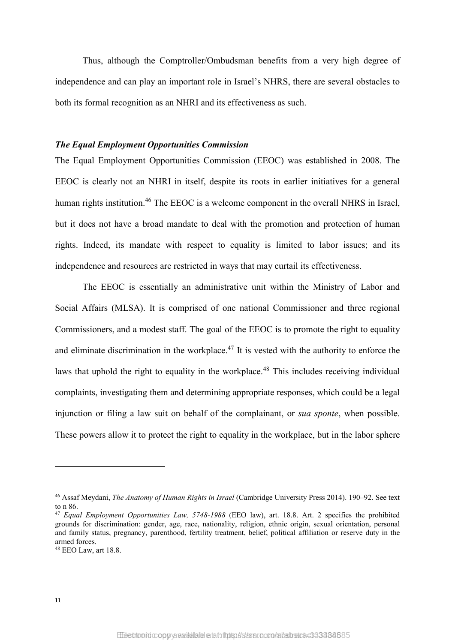Thus, although the Comptroller/Ombudsman benefits from a very high degree of independence and can play an important role in Israel's NHRS, there are several obstacles to both its formal recognition as an NHRI and its effectiveness as such.

#### *The Equal Employment Opportunities Commission*

<span id="page-12-0"></span>The Equal Employment Opportunities Commission (EEOC) was established in 2008. The EEOC is clearly not an NHRI in itself, despite its roots in earlier initiatives for a general human rights institution.<sup>46</sup> The EEOC is a welcome component in the overall NHRS in Israel, but it does not have a broad mandate to deal with the promotion and protection of human rights. Indeed, its mandate with respect to equality is limited to labor issues; and its independence and resources are restricted in ways that may curtail its effectiveness.

The EEOC is essentially an administrative unit within the Ministry of Labor and Social Affairs (MLSA). It is comprised of one national Commissioner and three regional Commissioners, and a modest staff. The goal of the EEOC is to promote the right to equality and eliminate discrimination in the workplace.<sup>47</sup> It is vested with the authority to enforce the laws that uphold the right to equality in the workplace.<sup>48</sup> This includes receiving individual complaints, investigating them and determining appropriate responses, which could be a legal injunction or filing a law suit on behalf of the complainant, or *sua sponte*, when possible. These powers allow it to protect the right to equality in the workplace, but in the labor sphere

<sup>46</sup> Assaf Meydani, *The Anatomy of Human Rights in Israel* (Cambridge University Press 2014). 190–92. See text to n [86.](#page-23-0)

<sup>47</sup> *Equal Employment Opportunities Law, 5748-1988* (EEO law), art. 18.8. Art. 2 specifies the prohibited grounds for discrimination: gender, age, race, nationality, religion, ethnic origin, sexual orientation, personal and family status, pregnancy, parenthood, fertility treatment, belief, political affiliation or reserve duty in the armed forces.

<sup>48</sup> EEO Law, art 18.8.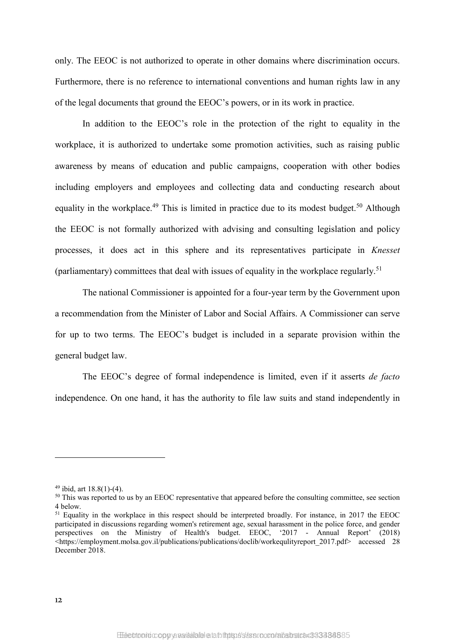only. The EEOC is not authorized to operate in other domains where discrimination occurs. Furthermore, there is no reference to international conventions and human rights law in any of the legal documents that ground the EEOC's powers, or in its work in practice.

In addition to the EEOC's role in the protection of the right to equality in the workplace, it is authorized to undertake some promotion activities, such as raising public awareness by means of education and public campaigns, cooperation with other bodies including employers and employees and collecting data and conducting research about equality in the workplace.<sup>49</sup> This is limited in practice due to its modest budget.<sup>50</sup> Although the EEOC is not formally authorized with advising and consulting legislation and policy processes, it does act in this sphere and its representatives participate in *Knesset* (parliamentary) committees that deal with issues of equality in the workplace regularly.<sup>51</sup>

The national Commissioner is appointed for a four-year term by the Government upon a recommendation from the Minister of Labor and Social Affairs. A Commissioner can serve for up to two terms. The EEOC's budget is included in a separate provision within the general budget law.

The EEOC's degree of formal independence is limited, even if it asserts *de facto* independence. On one hand, it has the authority to file law suits and stand independently in

 $49$  ibid, art  $18.8(1)-(4)$ .

<sup>&</sup>lt;sup>50</sup> This was reported to us by an EEOC representative that appeared before the consulting committee, see section 4 below.

<sup>&</sup>lt;sup>51</sup> Equality in the workplace in this respect should be interpreted broadly. For instance, in 2017 the EEOC participated in discussions regarding women's retirement age, sexual harassment in the police force, and gender perspectives on the Ministry of Health's budget. EEOC, '2017 - Annual Report' (2018)  $\frac{1}{\text{https://employment.molsa.gov.i/publications/publications/doclib/workergulityreport 2017.pdf}$  accessed 28 December 2018.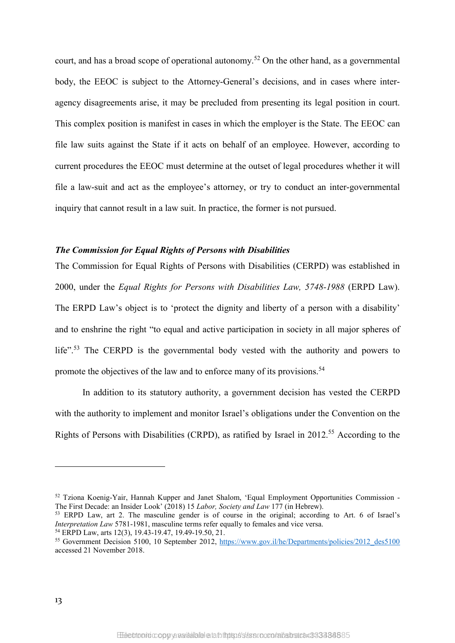court, and has a broad scope of operational autonomy.<sup>52</sup> On the other hand, as a governmental body, the EEOC is subject to the Attorney-General's decisions, and in cases where interagency disagreements arise, it may be precluded from presenting its legal position in court. This complex position is manifest in cases in which the employer is the State. The EEOC can file law suits against the State if it acts on behalf of an employee. However, according to current procedures the EEOC must determine at the outset of legal procedures whether it will file a law-suit and act as the employee's attorney, or try to conduct an inter-governmental inquiry that cannot result in a law suit. In practice, the former is not pursued.

#### *The Commission for Equal Rights of Persons with Disabilities*

The Commission for Equal Rights of Persons with Disabilities (CERPD) was established in 2000, under the *Equal Rights for Persons with Disabilities Law, 5748-1988* (ERPD Law). The ERPD Law's object is to 'protect the dignity and liberty of a person with a disability' and to enshrine the right "to equal and active participation in society in all major spheres of life".<sup>53</sup> The CERPD is the governmental body vested with the authority and powers to promote the objectives of the law and to enforce many of its provisions.<sup>54</sup>

In addition to its statutory authority, a government decision has vested the CERPD with the authority to implement and monitor Israel's obligations under the Convention on the Rights of Persons with Disabilities (CRPD), as ratified by Israel in 2012.<sup>55</sup> According to the

<sup>52</sup> Tziona Koenig-Yair, Hannah Kupper and Janet Shalom, 'Equal Employment Opportunities Commission - The First Decade: an Insider Look' (2018) 15 *Labor, Society and Law* 177 (in Hebrew).

<sup>53</sup> ERPD Law, art 2. The masculine gender is of course in the original; according to Art. 6 of Israel's *Interpretation Law* 5781-1981, masculine terms refer equally to females and vice versa.

<sup>54</sup> ERPD Law, arts 12(3), 19.43-19.47, 19.49-19.50, 21.

<sup>&</sup>lt;sup>55</sup> Government Decision 5100, 10 September 2012, [https://www.gov.il/he/Departments/policies/2012\\_des5100](https://www.gov.il/he/Departments/policies/2012_des5100) accessed 21 November 2018.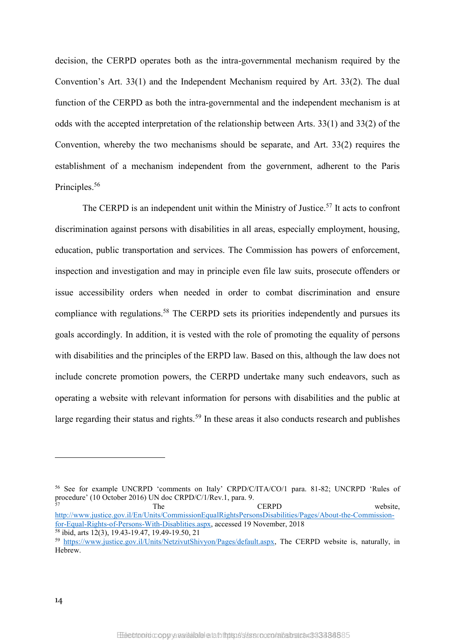decision, the CERPD operates both as the intra-governmental mechanism required by the Convention's Art. 33(1) and the Independent Mechanism required by Art. 33(2). The dual function of the CERPD as both the intra-governmental and the independent mechanism is at odds with the accepted interpretation of the relationship between Arts. 33(1) and 33(2) of the Convention, whereby the two mechanisms should be separate, and Art. 33(2) requires the establishment of a mechanism independent from the government, adherent to the Paris Principles.<sup>56</sup>

The CERPD is an independent unit within the Ministry of Justice.<sup>57</sup> It acts to confront discrimination against persons with disabilities in all areas, especially employment, housing, education, public transportation and services. The Commission has powers of enforcement, inspection and investigation and may in principle even file law suits, prosecute offenders or issue accessibility orders when needed in order to combat discrimination and ensure compliance with regulations.<sup>58</sup> The CERPD sets its priorities independently and pursues its goals accordingly. In addition, it is vested with the role of promoting the equality of persons with disabilities and the principles of the ERPD law. Based on this, although the law does not include concrete promotion powers, the CERPD undertake many such endeavors, such as operating a website with relevant information for persons with disabilities and the public at large regarding their status and rights.<sup>59</sup> In these areas it also conducts research and publishes

57 The CERPD website, [http://www.justice.gov.il/En/Units/CommissionEqualRightsPersonsDisabilities/Pages/About-the-Commission](http://www.justice.gov.il/En/Units/CommissionEqualRightsPersonsDisabilities/Pages/About-the-Commission-for-Equal-Rights-of-Persons-With-Disablities.aspx)[for-Equal-Rights-of-Persons-With-Disablities.aspx,](http://www.justice.gov.il/En/Units/CommissionEqualRightsPersonsDisabilities/Pages/About-the-Commission-for-Equal-Rights-of-Persons-With-Disablities.aspx) accessed 19 November, 2018 <sup>58</sup> ibid, arts 12(3), 19.43-19.47, 19.49-19.50, 21

<sup>56</sup> See for example UNCRPD 'comments on Italy' CRPD/C/ITA/CO/1 para. 81-82; UNCRPD 'Rules of procedure' (10 October 2016) UN doc CRPD/C/1/Rev.1, para. 9.

<sup>59</sup> [https://www.justice.gov.il/Units/NetzivutShivyon/Pages/default.aspx,](https://www.justice.gov.il/Units/NetzivutShivyon/Pages/default.aspx) The CERPD website is, naturally, in Hebrew.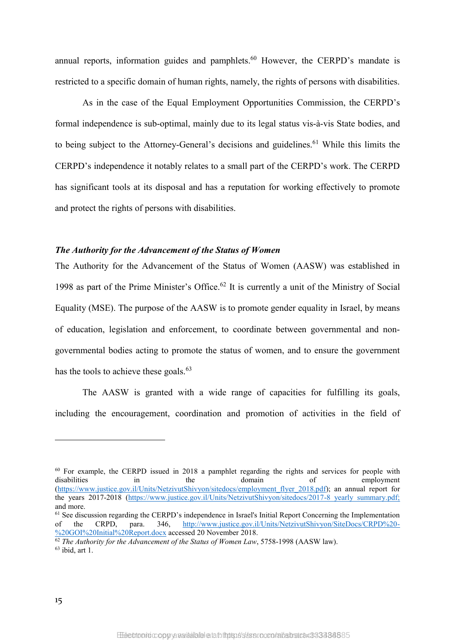annual reports, information guides and pamphlets.<sup>60</sup> However, the CERPD's mandate is restricted to a specific domain of human rights, namely, the rights of persons with disabilities.

As in the case of the Equal Employment Opportunities Commission, the CERPD's formal independence is sub-optimal, mainly due to its legal status vis-à-vis State bodies, and to being subject to the Attorney-General's decisions and guidelines.<sup>61</sup> While this limits the CERPD's independence it notably relates to a small part of the CERPD's work. The CERPD has significant tools at its disposal and has a reputation for working effectively to promote and protect the rights of persons with disabilities.

#### *The Authority for the Advancement of the Status of Women*

The Authority for the Advancement of the Status of Women (AASW) was established in 1998 as part of the Prime Minister's Office. <sup>62</sup> It is currently a unit of the Ministry of Social Equality (MSE). The purpose of the AASW is to promote gender equality in Israel, by means of education, legislation and enforcement, to coordinate between governmental and nongovernmental bodies acting to promote the status of women, and to ensure the government has the tools to achieve these goals.<sup>63</sup>

The AASW is granted with a wide range of capacities for fulfilling its goals, including the encouragement, coordination and promotion of activities in the field of

 $^{60}$  For example, the CERPD issued in 2018 a pamphlet regarding the rights and services for people with disabilities in the domain of employment disabilities in the domain of employment [\(https://www.justice.gov.il/Units/NetzivutShivyon/sitedocs/employment\\_flyer\\_2018.pdf\)](https://www.justice.gov.il/Units/NetzivutShivyon/sitedocs/employment_flyer_2018.pdf); an annual report for the years 2017-2018 [\(https://www.justice.gov.il/Units/NetzivutShivyon/sitedocs/2017-8\\_yearly\\_summary.pdf;](https://www.justice.gov.il/Units/NetzivutShivyon/sitedocs/2017-8_yearly_summary.pdf) and more.

<sup>&</sup>lt;sup>61</sup> See discussion regarding the CERPD's independence in Israel's Initial Report Concerning the Implementation of the CRPD, para.  $346$ ,  $\frac{\text{http://www.justice.gov.i/Unts/NetzivutShivyon/SiteDoes/CRPD\%20-}}{540}$ of the CRPD, para. 346, [http://www.justice.gov.il/Units/NetzivutShivyon/SiteDocs/CRPD%20-](http://www.justice.gov.il/Units/NetzivutShivyon/SiteDocs/CRPD%20-%20GOI%20Initial%20Report.docx) [%20GOI%20Initial%20Report.docx](http://www.justice.gov.il/Units/NetzivutShivyon/SiteDocs/CRPD%20-%20GOI%20Initial%20Report.docx) accessed 20 November 2018.

<sup>62</sup> *The Authority for the Advancement of the Status of Women Law*, 5758-1998 (AASW law).

 $63$  ibid, art 1.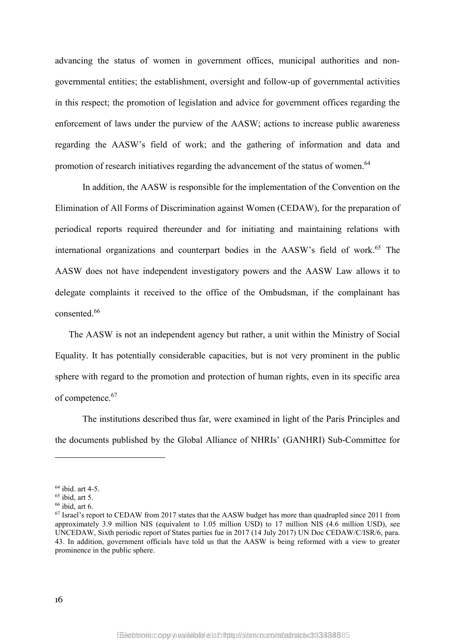advancing the status of women in government offices, municipal authorities and nongovernmental entities; the establishment, oversight and follow-up of governmental activities in this respect; the promotion of legislation and advice for government offices regarding the enforcement of laws under the purview of the AASW; actions to increase public awareness regarding the AASW's field of work; and the gathering of information and data and promotion of research initiatives regarding the advancement of the status of women.<sup>64</sup>

In addition, the AASW is responsible for the implementation of the Convention on the Elimination of All Forms of Discrimination against Women (CEDAW), for the preparation of periodical reports required thereunder and for initiating and maintaining relations with international organizations and counterpart bodies in the AASW's field of work.<sup>65</sup> The AASW does not have independent investigatory powers and the AASW Law allows it to delegate complaints it received to the office of the Ombudsman, if the complainant has consented.<sup>66</sup>

The AASW is not an independent agency but rather, a unit within the Ministry of Social Equality. It has potentially considerable capacities, but is not very prominent in the public sphere with regard to the promotion and protection of human rights, even in its specific area of competence. 67

The institutions described thus far, were examined in light of the Paris Principles and the documents published by the Global Alliance of NHRIs' (GANHRI) Sub-Committee for

<sup>64</sup> ibid. art 4-5.

 $65$  ibid, art 5.

 $66$  ibid, art 6.

<sup>&</sup>lt;sup>67</sup> Israel's report to CEDAW from 2017 states that the AASW budget has more than quadrupled since 2011 from approximately 3.9 million NIS (equivalent to 1.05 million USD) to 17 million NIS (4.6 million USD), see UNCEDAW, Sixth periodic report of States parties fue in 2017 (14 July 2017) UN Doc CEDAW/C/ISR/6, para. 43. In addition, government officials have told us that the AASW is being reformed with a view to greater prominence in the public sphere.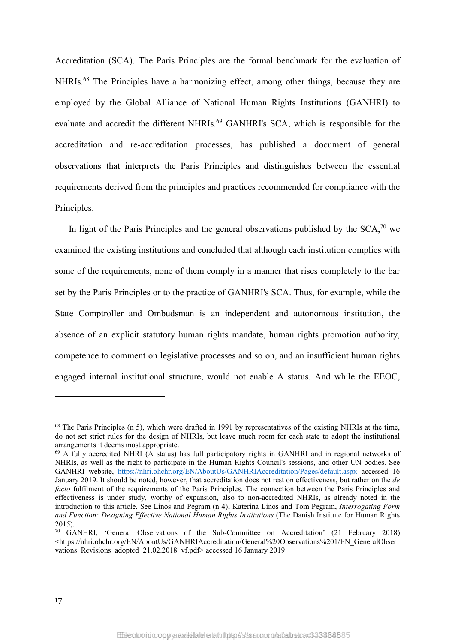Accreditation (SCA). The Paris Principles are the formal benchmark for the evaluation of NHRIs.<sup>68</sup> The Principles have a harmonizing effect, among other things, because they are employed by the Global Alliance of National Human Rights Institutions (GANHRI) to evaluate and accredit the different NHRIs.<sup>69</sup> GANHRI's SCA, which is responsible for the accreditation and re-accreditation processes, has published a document of general observations that interprets the Paris Principles and distinguishes between the essential requirements derived from the principles and practices recommended for compliance with the Principles.

In light of the Paris Principles and the general observations published by the  $SCA$ <sup>70</sup> we examined the existing institutions and concluded that although each institution complies with some of the requirements, none of them comply in a manner that rises completely to the bar set by the Paris Principles or to the practice of GANHRI's SCA. Thus, for example, while the State Comptroller and Ombudsman is an independent and autonomous institution, the absence of an explicit statutory human rights mandate, human rights promotion authority, competence to comment on legislative processes and so on, and an insufficient human rights engaged internal institutional structure, would not enable A status. And while the EEOC,

1

<sup>&</sup>lt;sup>68</sup> The Paris Principles (n [5\)](#page-4-0), which were drafted in 1991 by representatives of the existing NHRIs at the time, do not set strict rules for the design of NHRIs, but leave much room for each state to adopt the institutional arrangements it deems most appropriate.<br><sup>69</sup> A fully accredited NHRI (A status) has full participatory rights in GANHRI and in regional networks of

NHRIs, as well as the right to participate in the Human Rights Council's sessions, and other UN bodies. See GANHRI website, <https://nhri.ohchr.org/EN/AboutUs/GANHRIAccreditation/Pages/default.aspx> accessed 16 January 2019. It should be noted, however, that accreditation does not rest on effectiveness, but rather on the *de facto* fulfilment of the requirements of the Paris Principles. The connection between the Paris Principles and effectiveness is under study, worthy of expansion, also to non-accredited NHRIs, as already noted in the introduction to this article. See Linos and Pegram (n [4\)](#page-3-0); Katerina Linos and Tom Pegram, *Interrogating Form and Function: Designing Effective National Human Rights Institutions* (The Danish Institute for Human Rights 2015).

<sup>70</sup> GANHRI, 'General Observations of the Sub-Committee on Accreditation' (21 February 2018) <https://nhri.ohchr.org/EN/AboutUs/GANHRIAccreditation/General%20Observations%201/EN\_GeneralObser vations Revisions adopted 21.02.2018 vf.pdf> accessed 16 January 2019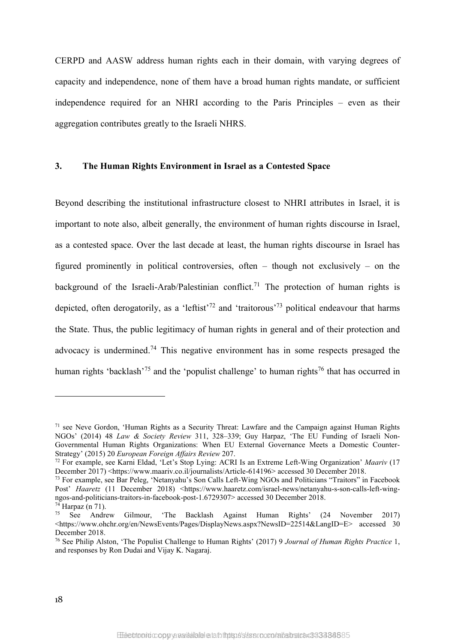CERPD and AASW address human rights each in their domain, with varying degrees of capacity and independence, none of them have a broad human rights mandate, or sufficient independence required for an NHRI according to the Paris Principles – even as their aggregation contributes greatly to the Israeli NHRS.

#### **3. The Human Rights Environment in Israel as a Contested Space**

<span id="page-19-0"></span>Beyond describing the institutional infrastructure closest to NHRI attributes in Israel, it is important to note also, albeit generally, the environment of human rights discourse in Israel, as a contested space. Over the last decade at least, the human rights discourse in Israel has figured prominently in political controversies, often – though not exclusively – on the background of the Israeli-Arab/Palestinian conflict.<sup>71</sup> The protection of human rights is depicted, often derogatorily, as a 'leftist'<sup>72</sup> and 'traitorous'<sup>73</sup> political endeavour that harms the State. Thus, the public legitimacy of human rights in general and of their protection and advocacy is undermined.<sup>74</sup> This negative environment has in some respects presaged the human rights 'backlash'<sup>75</sup> and the 'populist challenge' to human rights<sup>76</sup> that has occurred in

1

<sup>&</sup>lt;sup>71</sup> see Neve Gordon, 'Human Rights as a Security Threat: Lawfare and the Campaign against Human Rights NGOs' (2014) 48 *Law & Society Review* 311, 328–339; Guy Harpaz, 'The EU Funding of Israeli Non-Governmental Human Rights Organizations: When EU External Governance Meets a Domestic Counter-Strategy' (2015) 20 *European Foreign Affairs Review* 207.

<sup>72</sup> For example, see Karni Eldad, 'Let's Stop Lying: ACRI Is an Extreme Left-Wing Organization' *Maariv* (17 December 2017) <https://www.maariv.co.il/journalists/Article-614196> accessed 30 December 2018.

<sup>73</sup> For example, see Bar Peleg, 'Netanyahu's Son Calls Left-Wing NGOs and Politicians "Traitors" in Facebook Post' *Haaretz* (11 December 2018) <https://www.haaretz.com/israel-news/netanyahu-s-son-calls-left-wingngos-and-politicians-traitors-in-facebook-post-1.6729307> accessed 30 December 2018.

 $^{74}$  Harpaz (n [71\)](#page-19-0).<br> $^{75}$  See Andre

<sup>75</sup> See Andrew Gilmour, 'The Backlash Against Human Rights' (24 November 2017) <https://www.ohchr.org/en/NewsEvents/Pages/DisplayNews.aspx?NewsID=22514&LangID=E> accessed 30 December 2018.

<sup>76</sup> See Philip Alston, 'The Populist Challenge to Human Rights' (2017) 9 *Journal of Human Rights Practice* 1, and responses by Ron Dudai and Vijay K. Nagaraj.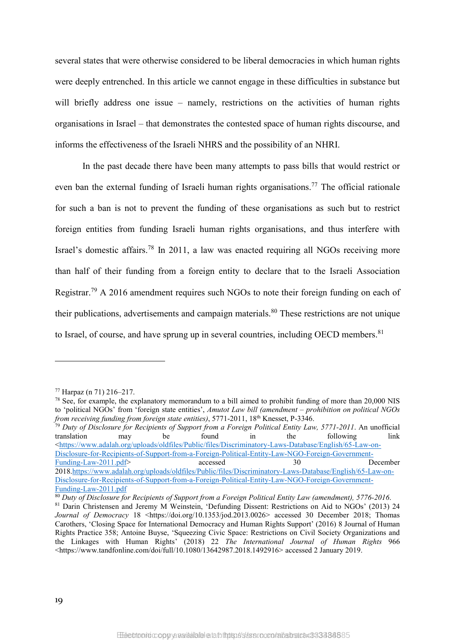several states that were otherwise considered to be liberal democracies in which human rights were deeply entrenched. In this article we cannot engage in these difficulties in substance but will briefly address one issue – namely, restrictions on the activities of human rights organisations in Israel – that demonstrates the contested space of human rights discourse, and informs the effectiveness of the Israeli NHRS and the possibility of an NHRI.

In the past decade there have been many attempts to pass bills that would restrict or even ban the external funding of Israeli human rights organisations.<sup>77</sup> The official rationale for such a ban is not to prevent the funding of these organisations as such but to restrict foreign entities from funding Israeli human rights organisations, and thus interfere with Israel's domestic affairs.<sup>78</sup> In 2011, a law was enacted requiring all NGOs receiving more than half of their funding from a foreign entity to declare that to the Israeli Association Registrar.<sup>79</sup> A 2016 amendment requires such NGOs to note their foreign funding on each of their publications, advertisements and campaign materials.<sup>80</sup> These restrictions are not unique to Israel, of course, and have sprung up in several countries, including OECD members. $81$ 

<u>.</u>

<sup>79</sup> *Duty of Disclosure for Recipients of Support from a Foreign Political Entity Law, 5771-2011*. An unofficial translation may be found in the following link [<https://www.adalah.org/uploads/oldfiles/Public/files/Discriminatory-Laws-Database/English/65-Law-on-](https://www.adalah.org/uploads/oldfiles/Public/files/Discriminatory-Laws-Database/English/65-Law-on-Disclosure-for-Recipients-of-Support-from-a-Foreign-Political-Entity-Law-NGO-Foreign-Government-Funding-Law-2011.pdf)[Disclosure-for-Recipients-of-Support-from-a-Foreign-Political-Entity-Law-NGO-Foreign-Government-](https://www.adalah.org/uploads/oldfiles/Public/files/Discriminatory-Laws-Database/English/65-Law-on-Disclosure-for-Recipients-of-Support-from-a-Foreign-Political-Entity-Law-NGO-Foreign-Government-Funding-Law-2011.pdf)[Funding-Law-2011.pdf>](https://www.adalah.org/uploads/oldfiles/Public/files/Discriminatory-Laws-Database/English/65-Law-on-Disclosure-for-Recipients-of-Support-from-a-Foreign-Political-Entity-Law-NGO-Foreign-Government-Funding-Law-2011.pdf) accessed 30 December 201[8.https://www.adalah.org/uploads/oldfiles/Public/files/Discriminatory-Laws-Database/English/65-Law-on-](https://www.adalah.org/uploads/oldfiles/Public/files/Discriminatory-Laws-Database/English/65-Law-on-Disclosure-for-Recipients-of-Support-from-a-Foreign-Political-Entity-Law-NGO-Foreign-Government-Funding-Law-2011.pdf)[Disclosure-for-Recipients-of-Support-from-a-Foreign-Political-Entity-Law-NGO-Foreign-Government-](https://www.adalah.org/uploads/oldfiles/Public/files/Discriminatory-Laws-Database/English/65-Law-on-Disclosure-for-Recipients-of-Support-from-a-Foreign-Political-Entity-Law-NGO-Foreign-Government-Funding-Law-2011.pdf)[Funding-Law-2011.pdf](https://www.adalah.org/uploads/oldfiles/Public/files/Discriminatory-Laws-Database/English/65-Law-on-Disclosure-for-Recipients-of-Support-from-a-Foreign-Political-Entity-Law-NGO-Foreign-Government-Funding-Law-2011.pdf)

<sup>80</sup> *Duty of Disclosure for Recipients of Support from a Foreign Political Entity Law (amendment), 5776-2016*.

<sup>77</sup> Harpaz (n 71) 216–217.

<sup>&</sup>lt;sup>78</sup> See, for example, the explanatory memorandum to a bill aimed to prohibit funding of more than 20,000 NIS to 'political NGOs' from 'foreign state entities', *Amutot Law bill (amendment – prohibition on political NGOs from receiving funding from foreign state entities)*, 5771-2011, 18th Knesset, P-3346.

<sup>&</sup>lt;sup>81</sup> Darin Christensen and Jeremy M Weinstein, 'Defunding Dissent: Restrictions on Aid to NGOs' (2013) 24 *Journal of Democracy* 18 <https://doi.org/10.1353/jod.2013.0026> accessed 30 December 2018; Thomas Carothers, 'Closing Space for International Democracy and Human Rights Support' (2016) 8 Journal of Human Rights Practice 358; Antoine Buyse, 'Squeezing Civic Space: Restrictions on Civil Society Organizations and the Linkages with Human Rights' (2018) 22 *The International Journal of Human Rights* 966 <https://www.tandfonline.com/doi/full/10.1080/13642987.2018.1492916> accessed 2 January 2019.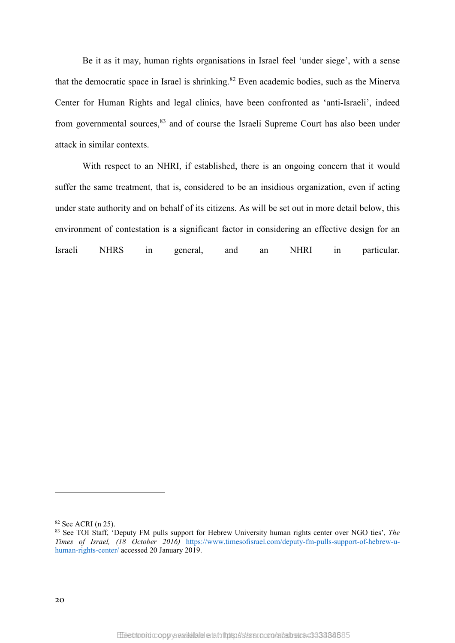Be it as it may, human rights organisations in Israel feel 'under siege', with a sense that the democratic space in Israel is shrinking.<sup>82</sup> Even academic bodies, such as the Minerva Center for Human Rights and legal clinics, have been confronted as 'anti-Israeli', indeed from governmental sources.<sup>83</sup> and of course the Israeli Supreme Court has also been under attack in similar contexts.

With respect to an NHRI, if established, there is an ongoing concern that it would suffer the same treatment, that is, considered to be an insidious organization, even if acting under state authority and on behalf of its citizens. As will be set out in more detail below, this environment of contestation is a significant factor in considering an effective design for an Israeli NHRS in general, and an NHRI in particular.

<sup>82</sup> See ACRI (n 25).

<sup>83</sup> See TOI Staff, 'Deputy FM pulls support for Hebrew University human rights center over NGO ties', *The Times of Israel, (18 October 2016)* [https://www.timesofisrael.com/deputy-fm-pulls-support-of-hebrew-u](https://www.timesofisrael.com/deputy-fm-pulls-support-of-hebrew-u-human-rights-center/)[human-rights-center/](https://www.timesofisrael.com/deputy-fm-pulls-support-of-hebrew-u-human-rights-center/) accessed 20 January 2019.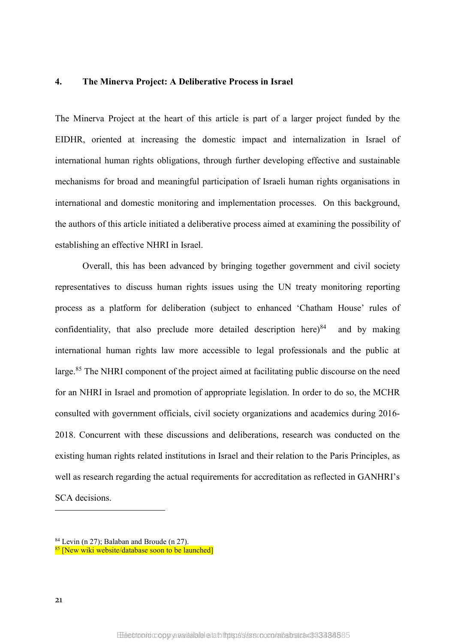#### **4. The Minerva Project: A Deliberative Process in Israel**

The Minerva Project at the heart of this article is part of a larger project funded by the EIDHR, oriented at increasing the domestic impact and internalization in Israel of international human rights obligations, through further developing effective and sustainable mechanisms for broad and meaningful participation of Israeli human rights organisations in international and domestic monitoring and implementation processes. On this background, the authors of this article initiated a deliberative process aimed at examining the possibility of establishing an effective NHRI in Israel.

Overall, this has been advanced by bringing together government and civil society representatives to discuss human rights issues using the UN treaty monitoring reporting process as a platform for deliberation (subject to enhanced 'Chatham House' rules of confidentiality, that also preclude more detailed description here) $84$  and by making international human rights law more accessible to legal professionals and the public at large.<sup>85</sup> The NHRI component of the project aimed at facilitating public discourse on the need for an NHRI in Israel and promotion of appropriate legislation. In order to do so, the MCHR consulted with government officials, civil society organizations and academics during 2016- 2018. Concurrent with these discussions and deliberations, research was conducted on the existing human rights related institutions in Israel and their relation to the Paris Principles, as well as research regarding the actual requirements for accreditation as reflected in GANHRI's SCA decisions.

1

<sup>84</sup> Levin (n [27\)](#page-8-0); Balaban and Broude (n [27\)](#page-8-0).

<sup>&</sup>lt;sup>85</sup> [New wiki website/database soon to be launched]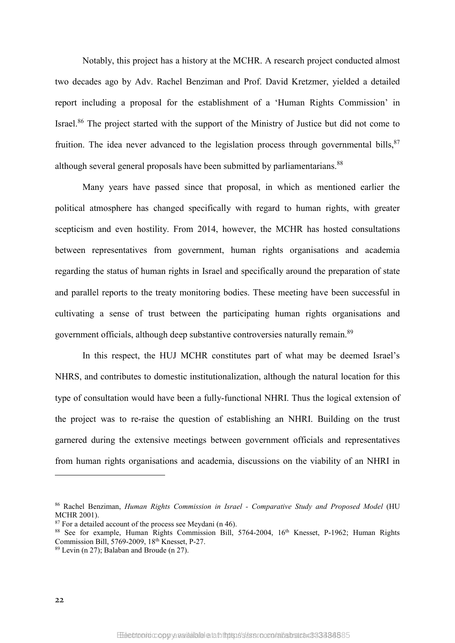<span id="page-23-0"></span>Notably, this project has a history at the MCHR. A research project conducted almost two decades ago by Adv. Rachel Benziman and Prof. David Kretzmer, yielded a detailed report including a proposal for the establishment of a 'Human Rights Commission' in Israel.<sup>86</sup> The project started with the support of the Ministry of Justice but did not come to fruition. The idea never advanced to the legislation process through governmental bills, $87$ although several general proposals have been submitted by parliamentarians.<sup>88</sup>

Many years have passed since that proposal, in which as mentioned earlier the political atmosphere has changed specifically with regard to human rights, with greater scepticism and even hostility. From 2014, however, the MCHR has hosted consultations between representatives from government, human rights organisations and academia regarding the status of human rights in Israel and specifically around the preparation of state and parallel reports to the treaty monitoring bodies. These meeting have been successful in cultivating a sense of trust between the participating human rights organisations and government officials, although deep substantive controversies naturally remain.<sup>89</sup>

In this respect, the HUJ MCHR constitutes part of what may be deemed Israel's NHRS, and contributes to domestic institutionalization, although the natural location for this type of consultation would have been a fully-functional NHRI. Thus the logical extension of the project was to re-raise the question of establishing an NHRI. Building on the trust garnered during the extensive meetings between government officials and representatives from human rights organisations and academia, discussions on the viability of an NHRI in

1

<sup>86</sup> Rachel Benziman, *Human Rights Commission in Israel - Comparative Study and Proposed Model* (HU MCHR 2001).

<sup>&</sup>lt;sup>87</sup> For a detailed account of the process see Meydani (n [46\)](#page-12-0).

<sup>88</sup> See for example, Human Rights Commission Bill, 5764-2004, 16<sup>th</sup> Knesset, P-1962; Human Rights Commission Bill, 5769-2009, 18th Knesset, P-27.

 $89$  Levin (n [27\)](#page-8-0); Balaban and Broude (n 27).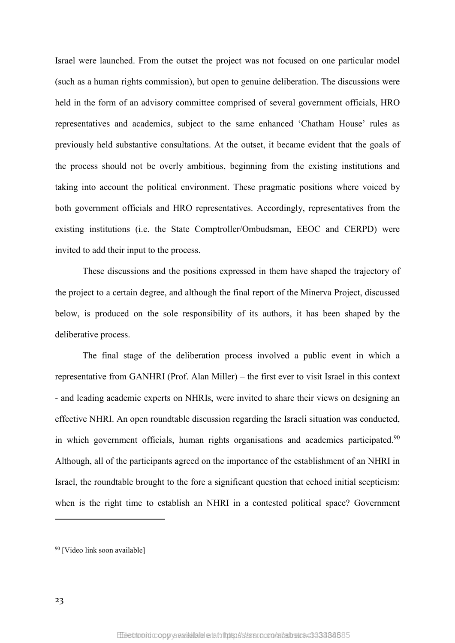Israel were launched. From the outset the project was not focused on one particular model (such as a human rights commission), but open to genuine deliberation. The discussions were held in the form of an advisory committee comprised of several government officials, HRO representatives and academics, subject to the same enhanced 'Chatham House' rules as previously held substantive consultations. At the outset, it became evident that the goals of the process should not be overly ambitious, beginning from the existing institutions and taking into account the political environment. These pragmatic positions where voiced by both government officials and HRO representatives. Accordingly, representatives from the existing institutions (i.e. the State Comptroller/Ombudsman, EEOC and CERPD) were invited to add their input to the process.

These discussions and the positions expressed in them have shaped the trajectory of the project to a certain degree, and although the final report of the Minerva Project, discussed below, is produced on the sole responsibility of its authors, it has been shaped by the deliberative process.

The final stage of the deliberation process involved a public event in which a representative from GANHRI (Prof. Alan Miller) – the first ever to visit Israel in this context - and leading academic experts on NHRIs, were invited to share their views on designing an effective NHRI. An open roundtable discussion regarding the Israeli situation was conducted, in which government officials, human rights organisations and academics participated. $90$ Although, all of the participants agreed on the importance of the establishment of an NHRI in Israel, the roundtable brought to the fore a significant question that echoed initial scepticism: when is the right time to establish an NHRI in a contested political space? Government

<sup>90</sup> [Video link soon available]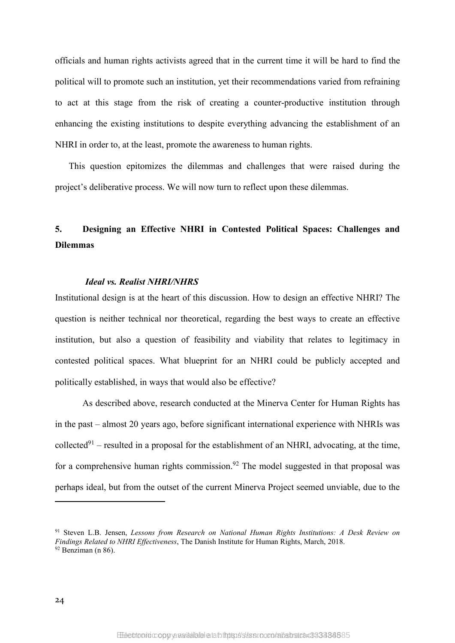officials and human rights activists agreed that in the current time it will be hard to find the political will to promote such an institution, yet their recommendations varied from refraining to act at this stage from the risk of creating a counter-productive institution through enhancing the existing institutions to despite everything advancing the establishment of an NHRI in order to, at the least, promote the awareness to human rights.

This question epitomizes the dilemmas and challenges that were raised during the project's deliberative process. We will now turn to reflect upon these dilemmas.

### **5. Designing an Effective NHRI in Contested Political Spaces: Challenges and Dilemmas**

#### *Ideal vs. Realist NHRI/NHRS*

Institutional design is at the heart of this discussion. How to design an effective NHRI? The question is neither technical nor theoretical, regarding the best ways to create an effective institution, but also a question of feasibility and viability that relates to legitimacy in contested political spaces. What blueprint for an NHRI could be publicly accepted and politically established, in ways that would also be effective?

As described above, research conducted at the Minerva Center for Human Rights has in the past – almost 20 years ago, before significant international experience with NHRIs was collected<sup>91</sup> – resulted in a proposal for the establishment of an NHRI, advocating, at the time, for a comprehensive human rights commission.<sup>92</sup> The model suggested in that proposal was perhaps ideal, but from the outset of the current Minerva Project seemed unviable, due to the

<sup>91</sup> Steven L.B. Jensen, *Lessons from Research on National Human Rights Institutions: A Desk Review on Findings Related to NHRI Effectiveness*, The Danish Institute for Human Rights, March, 2018.  $92$  Benziman (n [86\)](#page-23-0).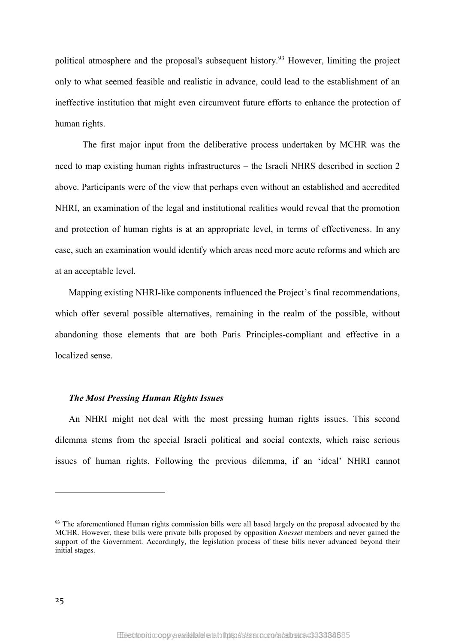political atmosphere and the proposal's subsequent history.<sup>93</sup> However, limiting the project only to what seemed feasible and realistic in advance, could lead to the establishment of an ineffective institution that might even circumvent future efforts to enhance the protection of human rights.

The first major input from the deliberative process undertaken by MCHR was the need to map existing human rights infrastructures – the Israeli NHRS described in section 2 above. Participants were of the view that perhaps even without an established and accredited NHRI, an examination of the legal and institutional realities would reveal that the promotion and protection of human rights is at an appropriate level, in terms of effectiveness. In any case, such an examination would identify which areas need more acute reforms and which are at an acceptable level.

Mapping existing NHRI-like components influenced the Project's final recommendations, which offer several possible alternatives, remaining in the realm of the possible, without abandoning those elements that are both Paris Principles-compliant and effective in a localized sense.

#### *The Most Pressing Human Rights Issues*

An NHRI might not deal with the most pressing human rights issues. This second dilemma stems from the special Israeli political and social contexts, which raise serious issues of human rights. Following the previous dilemma, if an 'ideal' NHRI cannot

<sup>&</sup>lt;sup>93</sup> The aforementioned Human rights commission bills were all based largely on the proposal advocated by the MCHR. However, these bills were private bills proposed by opposition *Knesset* members and never gained the support of the Government. Accordingly, the legislation process of these bills never advanced beyond their initial stages.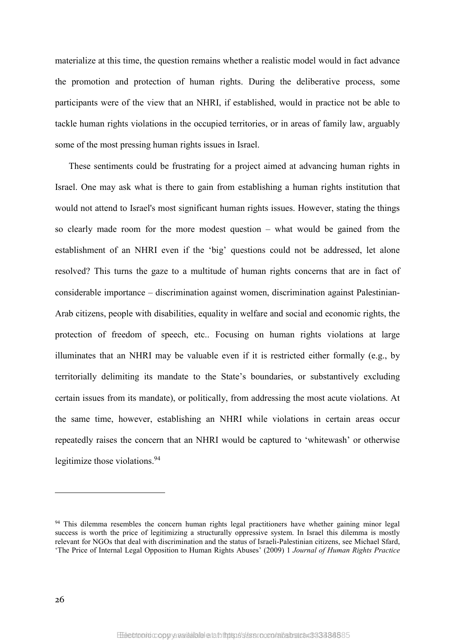materialize at this time, the question remains whether a realistic model would in fact advance the promotion and protection of human rights. During the deliberative process, some participants were of the view that an NHRI, if established, would in practice not be able to tackle human rights violations in the occupied territories, or in areas of family law, arguably some of the most pressing human rights issues in Israel.

These sentiments could be frustrating for a project aimed at advancing human rights in Israel. One may ask what is there to gain from establishing a human rights institution that would not attend to Israel's most significant human rights issues. However, stating the things so clearly made room for the more modest question – what would be gained from the establishment of an NHRI even if the 'big' questions could not be addressed, let alone resolved? This turns the gaze to a multitude of human rights concerns that are in fact of considerable importance – discrimination against women, discrimination against Palestinian-Arab citizens, people with disabilities, equality in welfare and social and economic rights, the protection of freedom of speech, etc.. Focusing on human rights violations at large illuminates that an NHRI may be valuable even if it is restricted either formally (e.g., by territorially delimiting its mandate to the State's boundaries, or substantively excluding certain issues from its mandate), or politically, from addressing the most acute violations. At the same time, however, establishing an NHRI while violations in certain areas occur repeatedly raises the concern that an NHRI would be captured to 'whitewash' or otherwise legitimize those violations.<sup>94</sup>

<sup>&</sup>lt;sup>94</sup> This dilemma resembles the concern human rights legal practitioners have whether gaining minor legal success is worth the price of legitimizing a structurally oppressive system. In Israel this dilemma is mostly relevant for NGOs that deal with discrimination and the status of Israeli-Palestinian citizens, see Michael Sfard, 'The Price of Internal Legal Opposition to Human Rights Abuses' (2009) 1 *Journal of Human Rights Practice*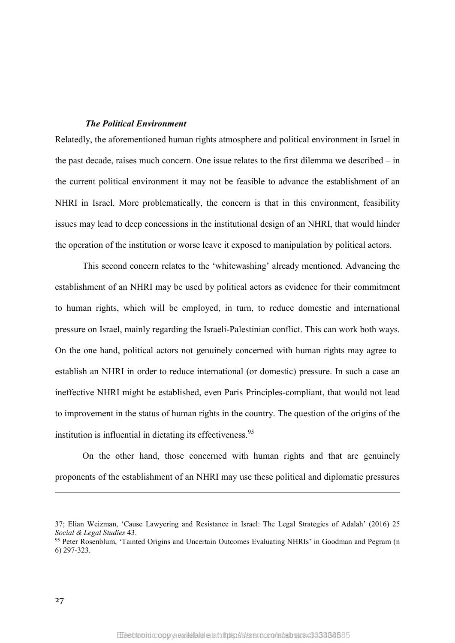#### *The Political Environment*

Relatedly, the aforementioned human rights atmosphere and political environment in Israel in the past decade, raises much concern. One issue relates to the first dilemma we described – in the current political environment it may not be feasible to advance the establishment of an NHRI in Israel. More problematically, the concern is that in this environment, feasibility issues may lead to deep concessions in the institutional design of an NHRI, that would hinder the operation of the institution or worse leave it exposed to manipulation by political actors.

This second concern relates to the 'whitewashing' already mentioned. Advancing the establishment of an NHRI may be used by political actors as evidence for their commitment to human rights, which will be employed, in turn, to reduce domestic and international pressure on Israel, mainly regarding the Israeli-Palestinian conflict. This can work both ways. On the one hand, political actors not genuinely concerned with human rights may agree to establish an NHRI in order to reduce international (or domestic) pressure. In such a case an ineffective NHRI might be established, even Paris Principles-compliant, that would not lead to improvement in the status of human rights in the country. The question of the origins of the institution is influential in dictating its effectiveness.<sup>95</sup>

On the other hand, those concerned with human rights and that are genuinely proponents of the establishment of an NHRI may use these political and diplomatic pressures

<sup>37;</sup> Elian Weizman, 'Cause Lawyering and Resistance in Israel: The Legal Strategies of Adalah' (2016) 25 *Social & Legal Studies* 43.

<sup>95</sup> Peter Rosenblum, 'Tainted Origins and Uncertain Outcomes Evaluating NHRIs' in Goodman and Pegram (n [6\)](#page-4-1) 297-323.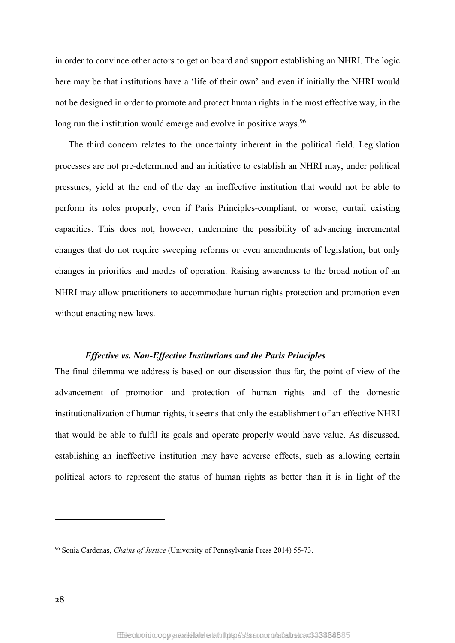in order to convince other actors to get on board and support establishing an NHRI. The logic here may be that institutions have a 'life of their own' and even if initially the NHRI would not be designed in order to promote and protect human rights in the most effective way, in the long run the institution would emerge and evolve in positive ways.<sup>96</sup>

The third concern relates to the uncertainty inherent in the political field. Legislation processes are not pre-determined and an initiative to establish an NHRI may, under political pressures, yield at the end of the day an ineffective institution that would not be able to perform its roles properly, even if Paris Principles-compliant, or worse, curtail existing capacities. This does not, however, undermine the possibility of advancing incremental changes that do not require sweeping reforms or even amendments of legislation, but only changes in priorities and modes of operation. Raising awareness to the broad notion of an NHRI may allow practitioners to accommodate human rights protection and promotion even without enacting new laws.

#### *Effective vs. Non-Effective Institutions and the Paris Principles*

The final dilemma we address is based on our discussion thus far, the point of view of the advancement of promotion and protection of human rights and of the domestic institutionalization of human rights, it seems that only the establishment of an effective NHRI that would be able to fulfil its goals and operate properly would have value. As discussed, establishing an ineffective institution may have adverse effects, such as allowing certain political actors to represent the status of human rights as better than it is in light of the

<sup>96</sup> Sonia Cardenas, *Chains of Justice* (University of Pennsylvania Press 2014) 55-73.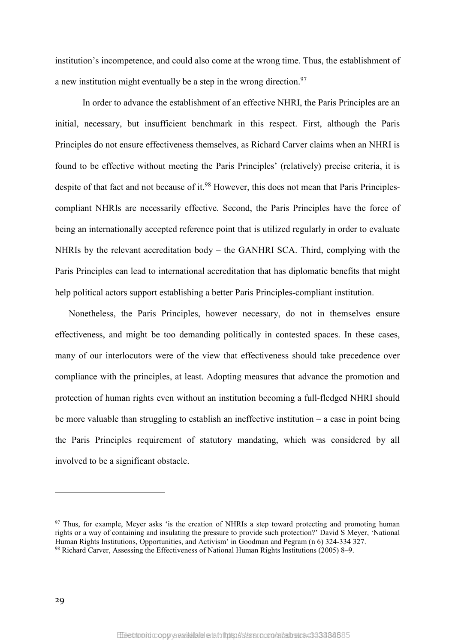institution's incompetence, and could also come at the wrong time. Thus, the establishment of a new institution might eventually be a step in the wrong direction.<sup>97</sup>

In order to advance the establishment of an effective NHRI, the Paris Principles are an initial, necessary, but insufficient benchmark in this respect. First, although the Paris Principles do not ensure effectiveness themselves, as Richard Carver claims when an NHRI is found to be effective without meeting the Paris Principles' (relatively) precise criteria, it is despite of that fact and not because of it.<sup>98</sup> However, this does not mean that Paris Principlescompliant NHRIs are necessarily effective. Second, the Paris Principles have the force of being an internationally accepted reference point that is utilized regularly in order to evaluate NHRIs by the relevant accreditation body – the GANHRI SCA. Third, complying with the Paris Principles can lead to international accreditation that has diplomatic benefits that might help political actors support establishing a better Paris Principles-compliant institution.

Nonetheless, the Paris Principles, however necessary, do not in themselves ensure effectiveness, and might be too demanding politically in contested spaces. In these cases, many of our interlocutors were of the view that effectiveness should take precedence over compliance with the principles, at least. Adopting measures that advance the promotion and protection of human rights even without an institution becoming a full-fledged NHRI should be more valuable than struggling to establish an ineffective institution – a case in point being the Paris Principles requirement of statutory mandating, which was considered by all involved to be a significant obstacle.

<sup>&</sup>lt;sup>97</sup> Thus, for example, Meyer asks 'is the creation of NHRIs a step toward protecting and promoting human rights or a way of containing and insulating the pressure to provide such protection?' David S Meyer, 'National Human Rights Institutions, Opportunities, and Activism' in Goodman and Pegram (n [6\)](#page-4-1) 324-334 327. <sup>98</sup> Richard Carver, Assessing the Effectiveness of National Human Rights Institutions (2005) 8–9.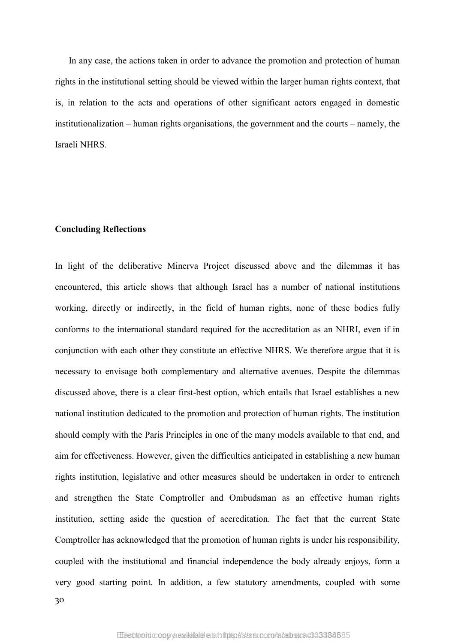In any case, the actions taken in order to advance the promotion and protection of human rights in the institutional setting should be viewed within the larger human rights context, that is, in relation to the acts and operations of other significant actors engaged in domestic institutionalization – human rights organisations, the government and the courts – namely, the Israeli NHRS.

#### **Concluding Reflections**

30

In light of the deliberative Minerva Project discussed above and the dilemmas it has encountered, this article shows that although Israel has a number of national institutions working, directly or indirectly, in the field of human rights, none of these bodies fully conforms to the international standard required for the accreditation as an NHRI, even if in conjunction with each other they constitute an effective NHRS. We therefore argue that it is necessary to envisage both complementary and alternative avenues. Despite the dilemmas discussed above, there is a clear first-best option, which entails that Israel establishes a new national institution dedicated to the promotion and protection of human rights. The institution should comply with the Paris Principles in one of the many models available to that end, and aim for effectiveness. However, given the difficulties anticipated in establishing a new human rights institution, legislative and other measures should be undertaken in order to entrench and strengthen the State Comptroller and Ombudsman as an effective human rights institution, setting aside the question of accreditation. The fact that the current State Comptroller has acknowledged that the promotion of human rights is under his responsibility, coupled with the institutional and financial independence the body already enjoys, form a very good starting point. In addition, a few statutory amendments, coupled with some